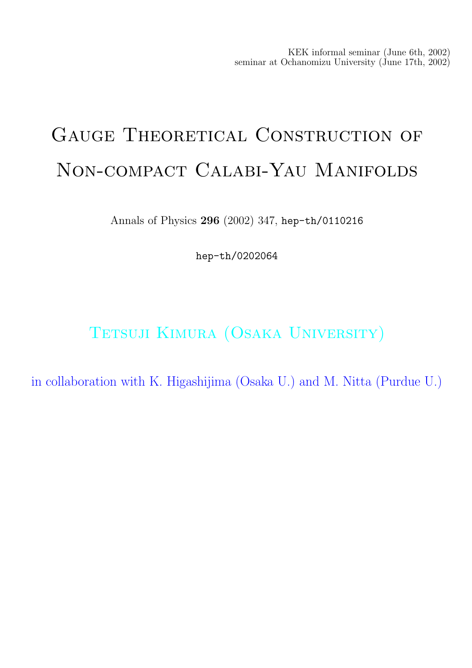KEK informal seminar (June 6th, 2002) seminar at Ochanomizu University (June 17th, 2002)

# GAUGE THEORETICAL CONSTRUCTION OF Non-compact Calabi-Yau Manifolds

Annals of Physics 296 (2002) 347, hep-th/0110216

hep-th/0202064

TETSUJI KIMURA (OSAKA UNIVERSITY)

in collaboration with K. Higashijima (Osaka U.) and M. Nitta (Purdue U.)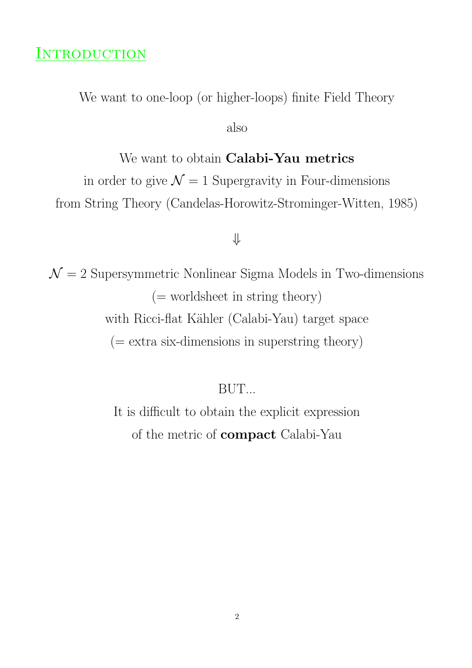### **INTRODUCTION**

We want to one-loop (or higher-loops) finite Field Theory

also

We want to obtain Calabi-Yau metrics

in order to give  $\mathcal{N} = 1$  Supergravity in Four-dimensions from String Theory (Candelas-Horowitz-Strominger-Witten, 1985)

#### ⇓

 $\mathcal{N}=2$  Supersymmetric Nonlinear Sigma Models in Two-dimensions (= worldsheet in string theory) with Ricci-flat Kähler (Calabi-Yau) target space  $($  = extra six-dimensions in superstring theory)

BUT...

It is difficult to obtain the explicit expression of the metric of compact Calabi-Yau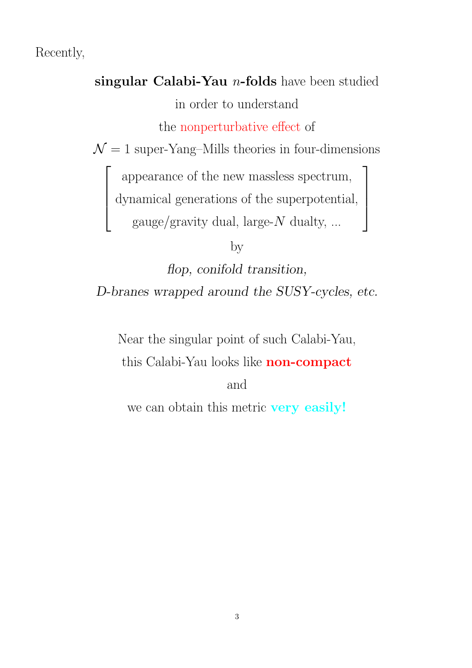Recently,

 $\sqrt{ }$ 

 $\left| \right|$  $\mathbf{I}$  $\overline{1}$ 

singular Calabi-Yau  $n$ -folds have been studied in order to understand the nonperturbative effect of  $\mathcal{N}=1$  super-Yang–Mills theories in four-dimensions

appearance of the new massless spectrum,

׀

 $\mathbf{I}$  $\mathbf{I}$  $\overline{1}$ 

dynamical generations of the superpotential,

gauge/gravity dual, large- $N$  dualty, ...

by

flop, conifold transition, D-branes wrapped around the SUSY-cycles, etc.

Near the singular point of such Calabi-Yau,

this Calabi-Yau looks like non-compact

and

we can obtain this metric very easily!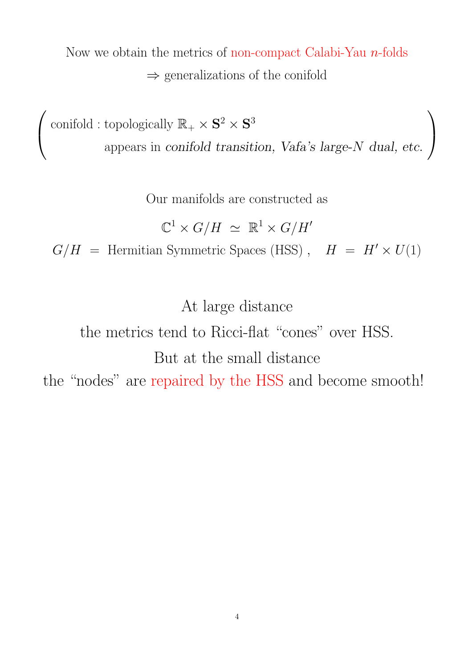Now we obtain the metrics of non-compact Calabi-Yau  $n$ -folds  $\Rightarrow$  generalizations of the conifold

 $\sqrt{ }$  $\overline{1}$ conifold : topologically  $\mathbb{R}_+ \times \mathbf{S}^2 \times \mathbf{S}^3$ appears in conifold transition, Vafa's large-N dual, etc.  $\sqrt{2}$  $\overline{1}$ 

Our manifolds are constructed as

$$
\mathbb{C}^1 \times G/H \simeq \mathbb{R}^1 \times G/H'
$$

 $G/H =$  Hermitian Symmetric Spaces (HSS),  $H = H' \times U(1)$ 

At large distance

the metrics tend to Ricci-flat "cones" over HSS. But at the small distance the "nodes" are repaired by the HSS and become smooth!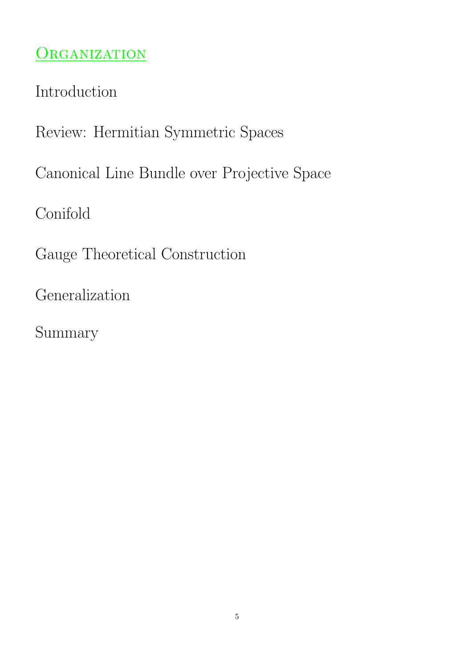# ORGANIZATION

Introduction

Review: Hermitian Symmetric Spaces

Canonical Line Bundle over Projective Space

Conifold

Gauge Theoretical Construction

Generalization

Summary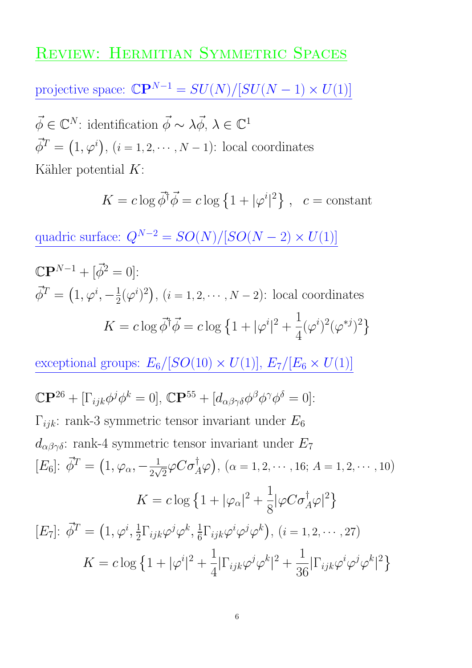## REVIEW: HERMITIAN SYMMETRIC SPACES

projective space:  $\mathbb{C} \mathbb{P}^{N-1} = SU(N)/[SU(N-1) \times U(1)]$ 

 $\vec{\phi} \in \mathbb{C}^N$ : identification  $\vec{\phi} \sim \lambda \vec{\phi}, \lambda \in \mathbb{C}^1$  $\vec{\phi}^T = (1, \varphi^i), (i = 1, 2, \cdots, N-1)$ : local coordinates Kähler potential  $K$ :

$$
K = c \log \vec{\phi}^{\dagger} \vec{\phi} = c \log \left\{ 1 + |\varphi^i|^2 \right\}, \ \ c = \text{constant}
$$

quadric surface:  $Q^{N-2} = SO(N)/[SO(N-2) \times U(1)]$ 

$$
\mathbb{C}\mathbf{P}^{N-1} + [\vec{\phi}^2 = 0]:
$$
  

$$
\vec{\phi}^T = (1, \varphi^i, -\frac{1}{2}(\varphi^i)^2), (i = 1, 2, \cdots, N-2): \text{local coordinates}
$$
  

$$
K = c \log \vec{\phi}^{\dagger} \vec{\phi} = c \log \left\{ 1 + |\varphi^i|^2 + \frac{1}{4} (\varphi^i)^2 (\varphi^{*j})^2 \right\}
$$

exceptional groups:  $E_6/[SO(10) \times U(1)]$ ,  $E_7/[E_6 \times U(1)]$  $\mathbb{C}\mathbf{P}^{26} + [\Gamma_{ijk}\phi^j\phi^k = 0], \, \mathbb{C}\mathbf{P}^{55} + [d_{\alpha\beta\gamma\delta}\phi^{\beta}\phi^{\gamma}\phi^{\delta} = 0].$  $\Gamma_{ijk}$ : rank-3 symmetric tensor invariant under  $E_6$  $d_{\alpha\beta\gamma\delta}$ : rank-4 symmetric tensor invariant under  $E_7$ [ $E_6$ ]:  $\vec{\phi}^T = (1, \varphi_\alpha, -\frac{1}{2\sqrt{2}})$  $\frac{1}{2\sqrt{2}}\varphi C\sigma_A^{\dagger}\varphi\big), (\alpha = 1, 2, \cdots, 16; A = 1, 2, \cdots, 10)$  $K = c \log \left\{ 1 + |\varphi_\alpha|^2 + \right\}$ 1  $\frac{1}{8} |\varphi C \sigma_A^{\dagger} \varphi|^2$  $[E_7]$ :  $\vec{\phi}^T = (1, \varphi^i, \frac{1}{2})$  $\frac{1}{2}\Gamma_{ijk}\varphi^{j}\varphi^{k},\frac{1}{6}$  $\frac{1}{6}\Gamma_{ijk}\varphi^{i}\varphi^{j}\varphi^{k}$ ,  $(i = 1, 2, \cdots, 27)$  $K = c \log \left\{ 1 + |\varphi^i| \right\}$  $|^{2} +$ 1  $\frac{1}{4}|\Gamma_{ijk}\varphi^j\varphi^k$  $|^{2} +$ 1  $\frac{1}{36}|\Gamma_{ijk}\varphi^{i}\varphi^{j}\varphi^{k}$ |  $\frac{2}{ }$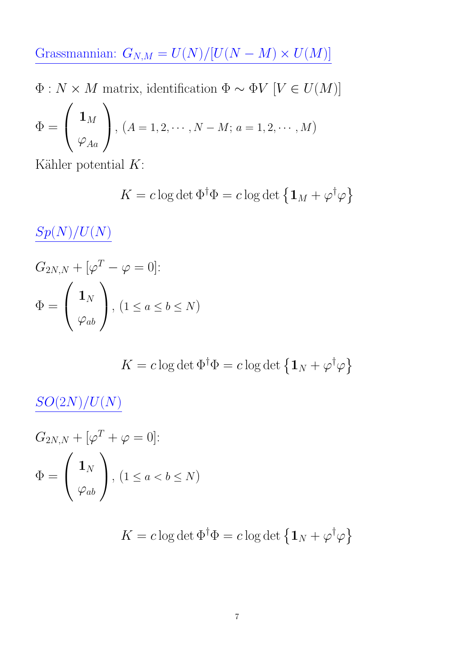Grassmannian:  $G_{N,M} = U(N)/[U(N-M) \times U(M)]$ 

Φ : N × M matrix, identification Φ ∼ ΦV [V ∈ U(M)]

$$
\Phi = \left(\begin{array}{c} \mathbf{1}_M \\ \varphi_{Aa} \end{array}\right), \ (A = 1, 2, \cdots, N - M; \ a = 1, 2, \cdots, M)
$$

Kähler potential  $K$ :

$$
K = c \log \det \Phi^{\dagger} \Phi = c \log \det \left\{ \mathbf{1}_M + \varphi^{\dagger} \varphi \right\}
$$

 $Sp(N)/U(N)$ 

$$
G_{2N,N} + [\varphi^T - \varphi = 0]:
$$
  

$$
\Phi = \begin{pmatrix} \mathbf{1}_N \\ \varphi_{ab} \end{pmatrix}, (1 \le a \le b \le N)
$$

$$
K = c \log \det \Phi^{\dagger} \Phi = c \log \det \left\{ \mathbf{1}_N + \varphi^{\dagger} \varphi \right\}
$$

 $SO(2N)/U(N)$ 

$$
G_{2N,N} + [\varphi^T + \varphi = 0]:
$$
  

$$
\Phi = \begin{pmatrix} \mathbf{1}_N \\ \varphi_{ab} \end{pmatrix}, (1 \le a < b \le N)
$$

$$
K = c \log \det \Phi^{\dagger} \Phi = c \log \det \left\{ \mathbf{1}_N + \varphi^{\dagger} \varphi \right\}
$$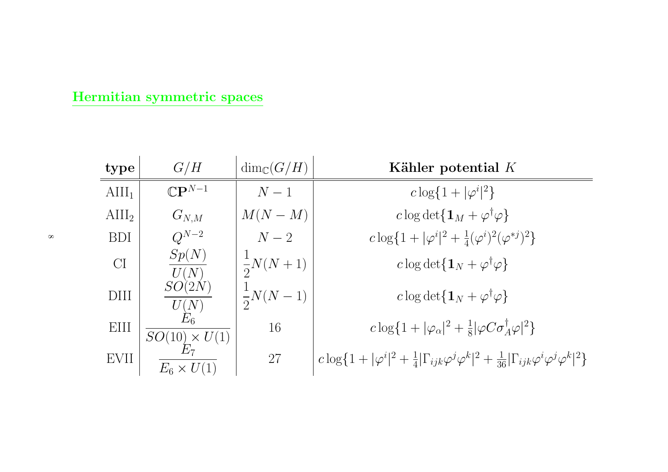#### Hermitian symmetric spaces

| type            | G/H                              | $\dim_{\mathbb{C}}(G/H)$ | Kähler potential $K$                                                                                                                                       |
|-----------------|----------------------------------|--------------------------|------------------------------------------------------------------------------------------------------------------------------------------------------------|
| $\text{AlII}_1$ | $\mathbb{C}\mathbf{P}^{N-1}$     | $N-1$                    | $c \log\{1 +  \varphi^i ^2\}$                                                                                                                              |
| $\text{AlII}_2$ | $G_{N,M}$                        | $M(N-M)$                 | c log det $\{1_M + \varphi^{\dagger} \varphi\}$                                                                                                            |
| <b>BDI</b>      | $Q^{N-2}$                        | $N-2$                    | $c \log\{1 +  \varphi^i ^2 + \frac{1}{4}(\varphi^i)^2(\varphi^{*j})^2\}$                                                                                   |
| CI              | Sp(N)<br>U(N)                    | $\frac{1}{2}N(N+1)$      | c log det $\{1_N + \varphi^{\dagger} \varphi\}$                                                                                                            |
| DIII            | SO(2N)<br>$\frac{U(N)}{E_6}$     | $\frac{1}{2}N(N-1)$      | c log det $\{1_N + \varphi^{\dagger} \varphi\}$                                                                                                            |
| EIII            | $SO(10) \times U(1)$             | 16                       | $c \log\{1 +  \varphi_{\alpha} ^2 + \frac{1}{8}  \varphi C \sigma_{A}^{\dagger} \varphi ^2\}$                                                              |
| EVII            | $E_{\rm 7}$<br>$E_6 \times U(1)$ | 27                       | $c \log\{1 +  \varphi^{i} ^{2} + \frac{1}{4} \Gamma_{ijk}\varphi^{j}\varphi^{k} ^{2} + \frac{1}{36} \Gamma_{ijk}\varphi^{i}\varphi^{j}\varphi^{k} ^{2}\}\$ |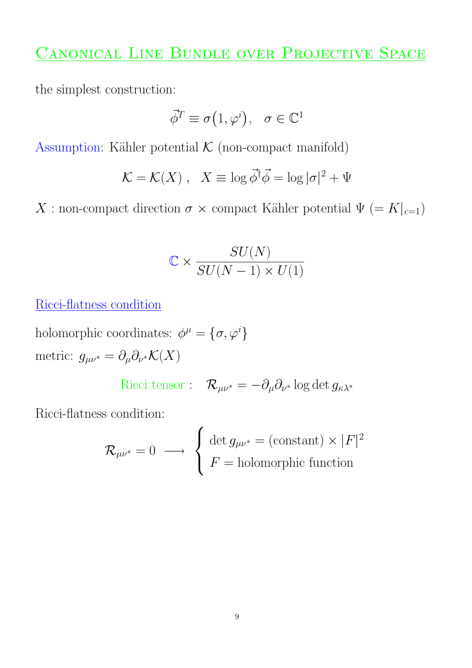# CANONICAL LINE BUNDLE OVER PROJECTIVE SPACE

the simplest construction:

$$
\vec{\phi}^T \equiv \sigma(1, \varphi^i), \quad \sigma \in \mathbb{C}^1
$$

Assumption: Kähler potential  $K$  (non-compact manifold)

$$
\mathcal{K} = \mathcal{K}(X) , \quad X \equiv \log \vec{\phi}^{\dagger} \vec{\phi} = \log |\sigma|^2 + \Psi
$$

X : non-compact direction  $\sigma \times$  compact Kähler potential  $\Psi (= K|_{c=1})$ 

$$
\mathbb{C} \times \frac{SU(N)}{SU(N-1) \times U(1)}
$$

Ricci-flatness condition

holomorphic coordinates:  $\phi^{\mu} = {\sigma, \varphi^{i}}$ metric:  $g_{\mu\nu^*} = \partial_\mu \partial_{\nu^*} \mathcal{K}(X)$ 

Ricci tensor : 
$$
\mathcal{R}_{\mu\nu^*} = -\partial_\mu \partial_{\nu^*} \log \det g_{\kappa\lambda^*}
$$

Ricci-flatness condition:

$$
\mathcal{R}_{\mu\nu^*} = 0 \longrightarrow \left\{ \begin{array}{l} \det g_{\mu\nu^*} = (\text{constant}) \times |F|^2 \\ F = \text{holomorphic function} \end{array} \right.
$$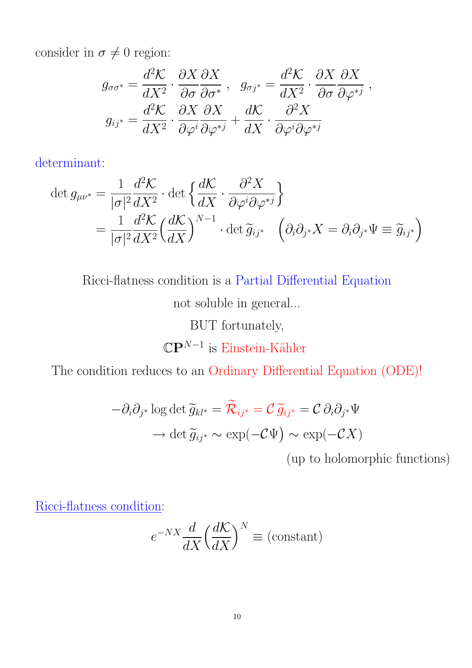consider in  $\sigma \neq 0$  region:

$$
g_{\sigma\sigma^*} = \frac{d^2\mathcal{K}}{dX^2} \cdot \frac{\partial X}{\partial \sigma} \frac{\partial X}{\partial \sigma^*} , \quad g_{\sigma j^*} = \frac{d^2\mathcal{K}}{dX^2} \cdot \frac{\partial X}{\partial \sigma} \frac{\partial X}{\partial \varphi^{*j}} ,
$$

$$
g_{ij^*} = \frac{d^2\mathcal{K}}{dX^2} \cdot \frac{\partial X}{\partial \varphi^i} \frac{\partial X}{\partial \varphi^{*j}} + \frac{d\mathcal{K}}{dX} \cdot \frac{\partial^2 X}{\partial \varphi^i \partial \varphi^{*j}}
$$

determinant:

$$
\det g_{\mu\nu^*} = \frac{1}{|\sigma|^2} \frac{d^2 \mathcal{K}}{dX^2} \cdot \det \left\{ \frac{d\mathcal{K}}{dX} \cdot \frac{\partial^2 X}{\partial \varphi^i \partial \varphi^{*j}} \right\} \n= \frac{1}{|\sigma|^2} \frac{d^2 \mathcal{K}}{dX^2} \left( \frac{d\mathcal{K}}{dX} \right)^{N-1} \cdot \det \widetilde{g}_{ij^*} \quad \left( \partial_i \partial_{j^*} X = \partial_i \partial_{j^*} \Psi \equiv \widetilde{g}_{ij^*} \right)
$$

Ricci-flatness condition is a Partial Differential Equation

not soluble in general...

BUT fortunately,

 $\mathbb{C} \mathbf{P}^{N-1}$  is Einstein-Kähler

The condition reduces to an Ordinary Differential Equation (ODE)!

$$
-\partial_i \partial_{j^*} \log \det \widetilde{g}_{kl^*} = \widetilde{\mathcal{R}}_{ij^*} = \mathcal{C} \widetilde{g}_{ij^*} = \mathcal{C} \partial_i \partial_{j^*} \Psi
$$

$$
\to \det \widetilde{g}_{ij^*} \sim \exp(-\mathcal{C}\Psi) \sim \exp(-\mathcal{C}X)
$$

(up to holomorphic functions)

Ricci-flatness condition:

$$
e^{-NX} \frac{d}{dX} \left(\frac{d\mathcal{K}}{dX}\right)^N \equiv \text{(constant)}
$$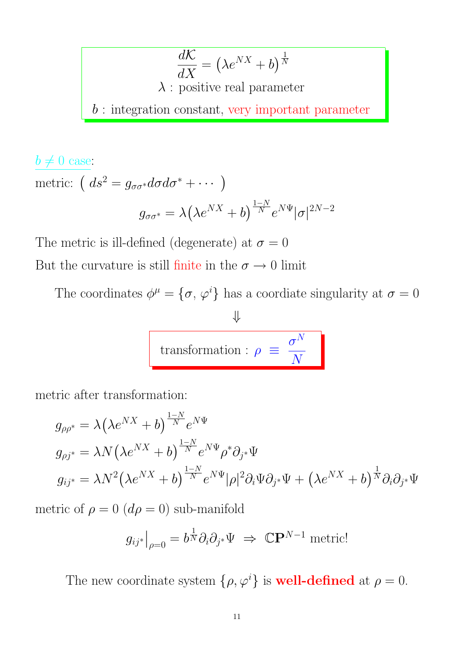$$
\frac{d\mathcal{K}}{dX} = (\lambda e^{NX} + b)^{\frac{1}{N}}
$$
  
 $\lambda$ : positive real parameter  
 $b$ : integration constant, very important parameter

$$
\frac{b \neq 0 \text{ case:}}{\text{metric: } \left( ds^2 = g_{\sigma \sigma^*} d\sigma d\sigma^* + \cdots \right)}
$$

$$
g_{\sigma \sigma^*} = \lambda \left( \lambda e^{NX} + b \right)^{\frac{1-N}{N}} e^{N\Psi} |\sigma|^{2N-2}
$$

The metric is ill-defined (degenerate) at  $\sigma = 0$ But the curvature is still finite in the  $\sigma \rightarrow 0$  limit

The coordinates  $\phi^{\mu} = {\sigma, \varphi^{i}}$  has a coordiate singularity at  $\sigma = 0$ 

$$
\frac{\psi}{\text{transformation}: \rho \equiv \frac{\sigma^N}{N}}
$$

metric after transformation:

$$
g_{\rho\rho^*} = \lambda \left(\lambda e^{NX} + b\right)^{\frac{1-N}{N}} e^{N\Psi}
$$
  
\n
$$
g_{\rho j^*} = \lambda N \left(\lambda e^{NX} + b\right)^{\frac{1-N}{N}} e^{N\Psi} \rho^* \partial_{j^*} \Psi
$$
  
\n
$$
g_{ij^*} = \lambda N^2 \left(\lambda e^{NX} + b\right)^{\frac{1-N}{N}} e^{N\Psi} |\rho|^2 \partial_i \Psi \partial_{j^*} \Psi + \left(\lambda e^{NX} + b\right)^{\frac{1}{N}} \partial_i \partial_{j^*} \Psi
$$

metric of  $\rho=0$   $(d\rho=0)$  sub-manifold

$$
g_{ij^*}|_{\rho=0} = b^{\frac{1}{N}} \partial_i \partial_{j^*} \Psi \implies \mathbb{C} \mathbf{P}^{N-1}
$$
 metric!

The new coordinate system  $\{\rho, \varphi^i\}$  is **well-defined** at  $\rho = 0$ .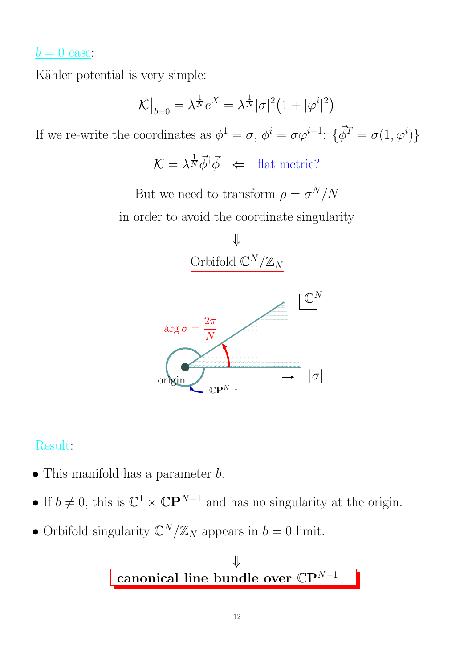#### $b = 0$  case:

Kähler potential is very simple:

$$
\mathcal{K}\big|_{b=0} = \lambda^{\frac{1}{N}} e^X = \lambda^{\frac{1}{N}} |\sigma|^2 \left(1 + |\varphi^i|^2\right)
$$

If we re-write the coordinates as  $\phi^1 = \sigma$ ,  $\phi^i = \sigma \varphi^{i-1}$ :  $\{\vec{\phi}^T = \sigma(1, \varphi^i)\}$ 

 $\mathcal{K} = \lambda^{\frac{1}{N}} \vec{\phi}^{\dagger} \vec{\phi} \iff \text{flat metric?}$ 

But we need to transform  $\rho = \sigma^N/N$ in order to avoid the coordinate singularity



PSfrag replacements



#### Result:

- This manifold has a parameter  $b$ .
- If  $b \neq 0$ , this is  $\mathbb{C}^1 \times \mathbb{C}P^{N-1}$  and has no singularity at the origin.
- Orbifold singularity  $\mathbb{C}^N/\mathbb{Z}_N$  appears in  $b=0$  limit.

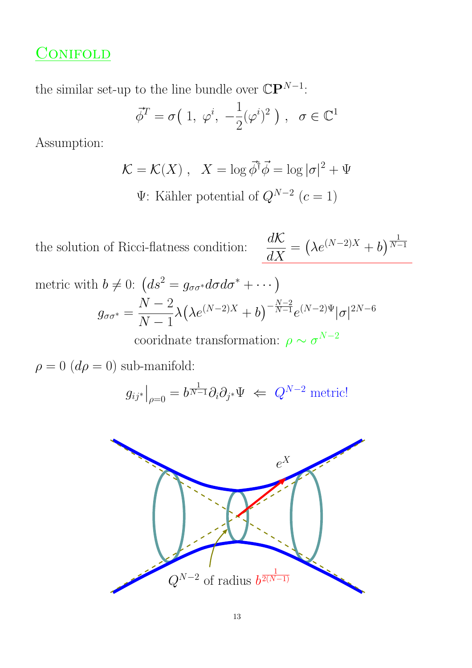# **CONIFOLD**

the similar set-up to the line bundle over  $\mathbb{C} \mathbb{P}^{N-1}$ :

$$
\vec{\phi}^T = \sigma\left(1, \ \varphi^i, \ -\frac{1}{2}(\varphi^i)^2\,\right), \ \ \sigma \in \mathbb{C}^1
$$

Assumption:

$$
\mathcal{K} = \mathcal{K}(X) , \quad X = \log \vec{\phi}^{\dagger} \vec{\phi} = \log |\sigma|^2 + \Psi
$$
  

$$
\Psi \text{: Kähler potential of } Q^{N-2} \ (c = 1)
$$

the solution of Ricci-flatness condition:  $\frac{d\mathcal{K}}{d\mathbf{V}}$  $\frac{d\mathcal{K}}{dX} = \left(\lambda e^{(N-2)X} + b\right)^{\frac{1}{N-2}}$  $N-1$ 

metric with 
$$
b \neq 0
$$
:  $(ds^2 = g_{\sigma\sigma^*}d\sigma d\sigma^* + \cdots)$   
\n
$$
g_{\sigma\sigma^*} = \frac{N-2}{N-1}\lambda \left(\lambda e^{(N-2)X} + b\right)^{-\frac{N-2}{N-1}} e^{(N-2)\Psi} |\sigma|^{2N-6}
$$

cooridnate transformation:  $\rho \sim \sigma^{N-2}$ 

 $\rho = 0$  ( $d\rho = 0$ ) sub-manifold:

$$
g_{ij^*}\big|_{\rho=0} = b^{\frac{1}{N-1}} \partial_i \partial_{j^*} \Psi \iff Q^{N-2} \text{ metric!}
$$



PSfrag replacements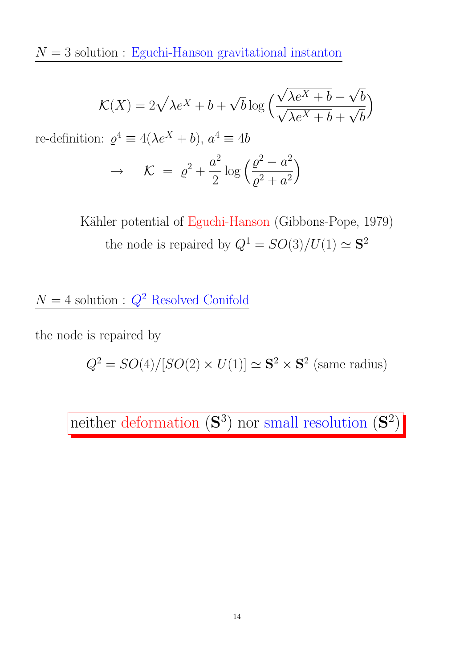${\cal N}=3$  solution : Eguchi-Hanson gravitational instanton

$$
\mathcal{K}(X) = 2\sqrt{\lambda e^X + b} + \sqrt{b} \log \left( \frac{\sqrt{\lambda e^X + b} - \sqrt{b}}{\sqrt{\lambda e^X + b} + \sqrt{b}} \right)
$$

re-definition:  $\varrho^4 \equiv 4(\lambda e^X + b), a^4 \equiv 4b$ 

$$
\rightarrow \qquad \mathcal{K} = \varrho^2 + \frac{a^2}{2} \log \left( \frac{\varrho^2 - a^2}{\varrho^2 + a^2} \right)
$$

Kähler potential of Eguchi-Hanson (Gibbons-Pope, 1979) the node is repaired by  $Q^1 = SO(3)/U(1) \simeq S^2$ 

 $N=4$  solution :  $Q^2$  Resolved Conifold

the node is repaired by

$$
Q^2 = SO(4)/[SO(2) \times U(1)] \simeq \mathbf{S}^2 \times \mathbf{S}^2
$$
 (same radius)

neither deformation  $(\mathbf{S}^3)$  nor small resolution  $(\mathbf{S}^2)$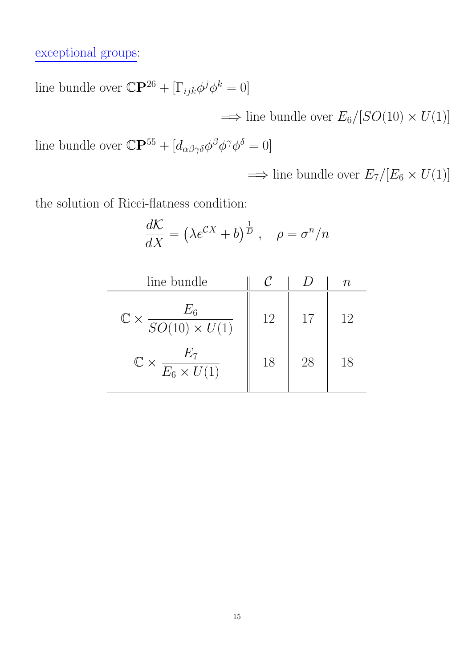exceptional groups:

line bundle over  $\mathbb{C} \mathbf{P}^{26} + [\Gamma_{ijk} \phi^j \phi^k = 0]$ 

 $\implies$  line bundle over  $E_6/[SO(10) \times U(1)]$ 

line bundle over  $\mathbb{C}\mathbf{P}^{55} + [d_{\alpha\beta\gamma\delta}\phi^{\beta}\phi^{\gamma}\phi^{\delta} = 0]$ 

 $\implies$  line bundle over  $E_7/[E_6 \times U(1)]$ 

the solution of Ricci-flatness condition:

$$
\frac{d\mathcal{K}}{dX} = \left(\lambda e^{CX} + b\right)^{\frac{1}{D}}, \quad \rho = \sigma^n/n
$$

| line bundle                                        |    |    | ТI. |
|----------------------------------------------------|----|----|-----|
| $\mathbb{C} \times \frac{E_6}{SO(10) \times U(1)}$ | 12 | 17 | 12  |
| $\mathbb{C}\times \frac{E_7}{E_6\times U(1)}$      | 18 | 28 | 18  |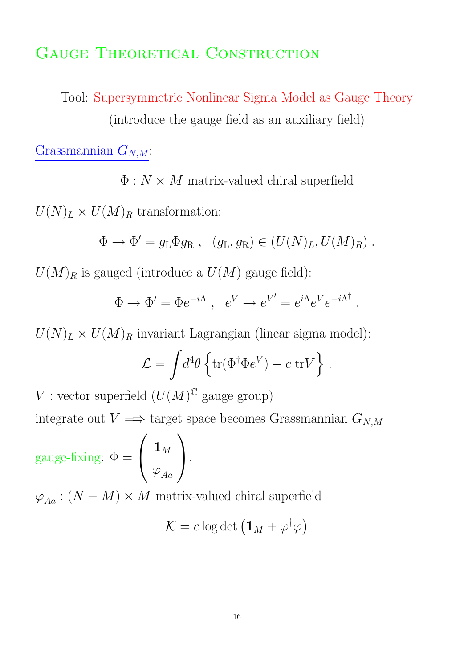## GAUGE THEORETICAL CONSTRUCTION

Tool: Supersymmetric Nonlinear Sigma Model as Gauge Theory (introduce the gauge field as an auxiliary field)

Grassmannian  $G_{N,M}$ :

 $\Phi: N \times M$  matrix-valued chiral superfield

 $U(N)<sub>L</sub> \times U(M)<sub>R</sub>$  transformation:

$$
\Phi \to \Phi' = g_L \Phi g_R , \quad (g_L, g_R) \in (U(N)_L, U(M)_R) .
$$

 $U(M)_R$  is gauged (introduce a  $U(M)$  gauge field):

$$
\Phi \to \Phi' = \Phi e^{-i\Lambda} , e^V \to e^{V'} = e^{i\Lambda} e^V e^{-i\Lambda^\dagger}
$$

.

 $U(N)<sub>L</sub> \times U(M)<sub>R</sub>$  invariant Lagrangian (linear sigma model):

$$
\mathcal{L} = \int d^4\theta \left\{ \text{tr}(\Phi^\dagger \Phi e^V) - c \text{ tr} V \right\}.
$$

V : vector superfield  $(U(M)^{\mathbb{C}}$  gauge group)

integrate out  $V \implies$  target space becomes Grassmannian  $G_{N,M}$ 

gauge-fixing:  $\Phi =$  $\sqrt{ }$  $\overline{1}$  $\mathbf{1}_M$  $\varphi_{Aa}$  $\sqrt{2}$  $\vert$ ,

 $\varphi_{Aa}:(N-M)\times M$  matrix-valued chiral superfield

$$
\mathcal{K} = c \log \det \left( \mathbf{1}_M + \varphi^\dagger \varphi \right)
$$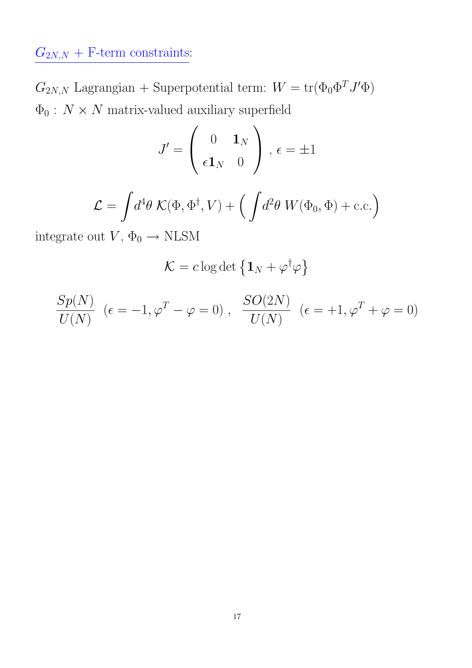$G_{2N,N}$  + F-term constraints:

 $G_{2N,N}$  Lagrangian + Superpotential term:  $W = \text{tr}(\Phi_0 \Phi^T J' \Phi)$  $\Phi_0$  :  $N\times N$  matrix-valued auxiliary superfield

$$
J' = \begin{pmatrix} 0 & \mathbf{1}_N \\ \epsilon \mathbf{1}_N & 0 \end{pmatrix}, \epsilon = \pm 1
$$

$$
\mathcal{L} = \int d^4\theta \; \mathcal{K}(\Phi, \Phi^\dagger, V) + \Big( \int d^2\theta \; W(\Phi_0, \Phi) + \text{c.c.} \Big)
$$

integrate out  $V, \Phi_0 \rightarrow \text{NLSM}$ 

$$
\mathcal{K} = c \log \det \left\{ \mathbf{1}_N + \varphi^{\dagger} \varphi \right\}
$$

$$
\frac{Sp(N)}{U(N)} \ \ (\epsilon=-1, \varphi^T-\varphi=0) \ , \ \ \frac{SO(2N)}{U(N)} \ \ (\epsilon=+1, \varphi^T+\varphi=0)
$$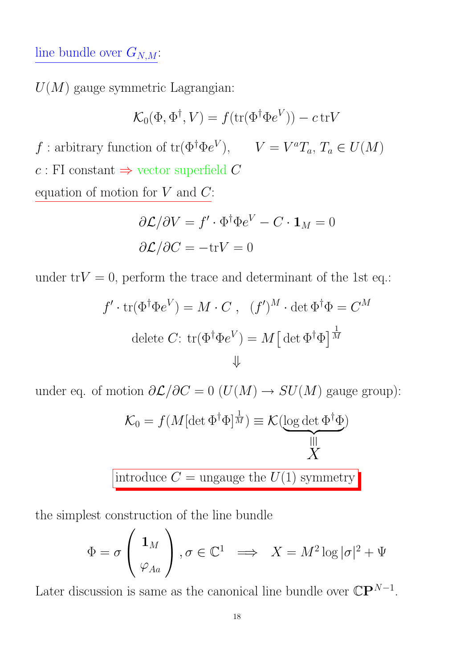## line bundle over  $G_{N,M}$ :

 $U(M)$  gauge symmetric Lagrangian:

$$
\mathcal{K}_0(\Phi, \Phi^{\dagger}, V) = f(\text{tr}(\Phi^{\dagger} \Phi e^V)) - c \text{tr} V
$$

f : arbitrary function of  $tr(\Phi^{\dagger} \Phi e^V)$ ,  $V = V^a T_a$ ,  $T_a \in U(M)$  $c$ : FI constant  $\Rightarrow$  vector superfield C equation of motion for  $V$  and  $C$ :

$$
\partial \mathcal{L}/\partial V = f' \cdot \Phi^{\dagger} \Phi e^V - C \cdot \mathbf{1}_M = 0
$$

$$
\partial \mathcal{L}/\partial C = -\text{tr}V = 0
$$

under  $trV = 0$ , perform the trace and determinant of the 1st eq.:

$$
f' \cdot \text{tr}(\Phi^{\dagger} \Phi e^V) = M \cdot C , \quad (f')^M \cdot \det \Phi^{\dagger} \Phi = C^M
$$
  
delete C: 
$$
\text{tr}(\Phi^{\dagger} \Phi e^V) = M \left[ \det \Phi^{\dagger} \Phi \right]^{\frac{1}{M}}
$$

$$
\downarrow
$$

under eq. of motion  $\partial \mathcal{L}/\partial C = 0$  ( $U(M) \rightarrow SU(M)$  gauge group):

$$
\mathcal{K}_0 = f(M[\det \Phi^{\dagger} \Phi]^{\frac{1}{M}}) \equiv \mathcal{K}(\underbrace{\log \det \Phi^{\dagger} \Phi}_{X})
$$

introduce  $C =$  ungauge the  $U(1)$  symmetry

the simplest construction of the line bundle

$$
\Phi = \sigma \left( \begin{array}{c} \mathbf{1}_M \\ \varphi_{Aa} \end{array} \right), \sigma \in \mathbb{C}^1 \implies X = M^2 \log |\sigma|^2 + \Psi
$$

Later discussion is same as the canonical line bundle over  $\mathbb{C} \mathbb{P}^{N-1}$ .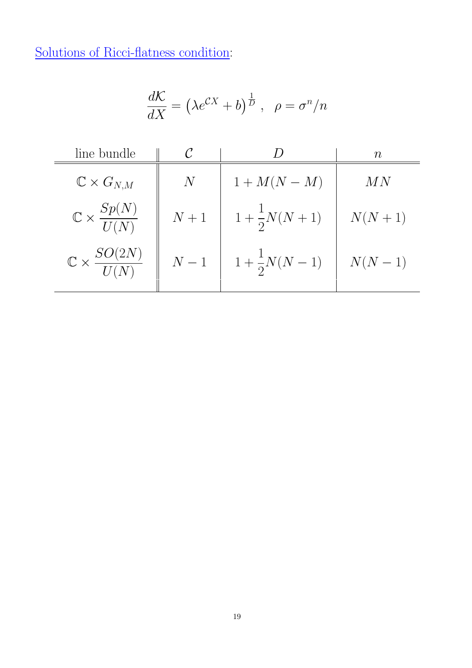Solutions of Ricci-flatness condition:

$$
\frac{d\mathcal{K}}{dX} = \left(\lambda e^{\mathcal{C}X} + b\right)^{\frac{1}{D}}, \ \ \rho = \sigma^n/n
$$

| line bundle                            |       |                           | $\, n \,$ |  |
|----------------------------------------|-------|---------------------------|-----------|--|
| $\mathbb{C}\times G_{N,M}$             | $\,N$ | $1+M(N-M)$                | MN        |  |
| $\mathbb{C} \times \frac{Sp(N)}{U(N)}$ | $N+1$ | $1 + \frac{1}{2}N(N + 1)$ | $N(N+1)$  |  |
| $\mathbb{C}\times \frac{SO(2N)}{U(N)}$ | $N-1$ | $1 + \frac{1}{2}N(N-1)$   | $N(N-1)$  |  |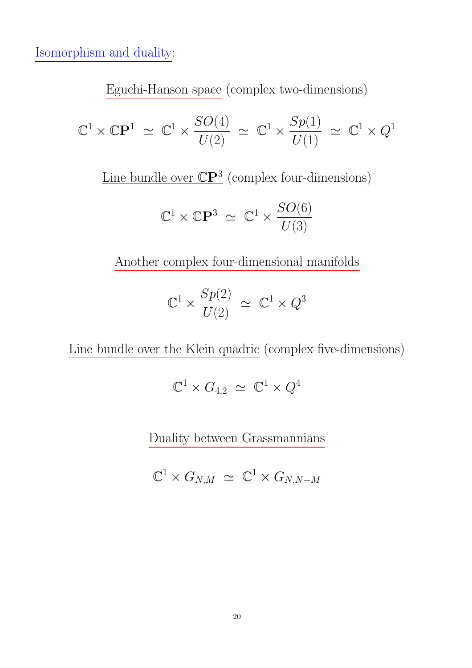Isomorphism and duality:

Eguchi-Hanson space (complex two-dimensions)

$$
\mathbb{C}^1 \times \mathbb{C} \mathbf{P}^1 \simeq \mathbb{C}^1 \times \frac{SO(4)}{U(2)} \simeq \mathbb{C}^1 \times \frac{Sp(1)}{U(1)} \simeq \mathbb{C}^1 \times Q^1
$$

Line bundle over  $\mathbb{C}P^3$  (complex four-dimensions)

$$
\mathbb{C}^1 \times \mathbb{C}\mathbf{P}^3 \simeq \mathbb{C}^1 \times \frac{SO(6)}{U(3)}
$$

Another complex four-dimensional manifolds

$$
\mathbb{C}^1 \times \frac{Sp(2)}{U(2)} \, \simeq \, \mathbb{C}^1 \times Q^3
$$

Line bundle over the Klein quadric (complex five-dimensions)

$$
\mathbb{C}^1 \times G_{4,2} \, \simeq \, \mathbb{C}^1 \times Q^4
$$

Duality between Grassmannians

$$
\mathbb{C}^1 \times G_{N,M} \simeq \mathbb{C}^1 \times G_{N,N-M}
$$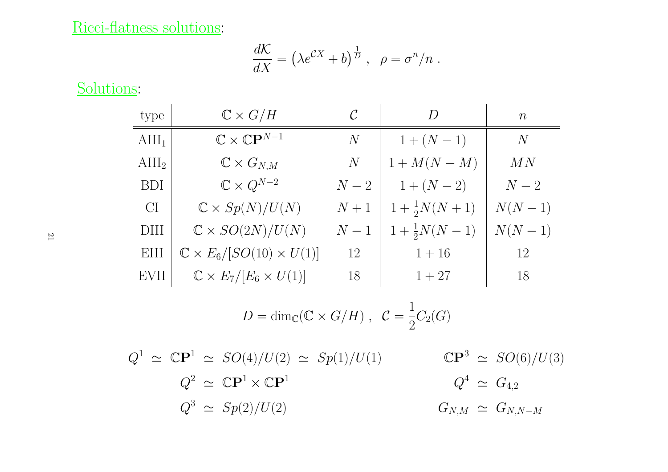#### Ricci-flatness solutions:

$$
\frac{d\mathcal{K}}{dX} = \left(\lambda e^{CX} + b\right)^{\frac{1}{D}}, \ \ \rho = \sigma^n/n.
$$

Solutions:

| type            | $\mathbb{C} \times G/H$                       | $\mathcal C$ | $\overline{D}$        | $\, n$   |
|-----------------|-----------------------------------------------|--------------|-----------------------|----------|
| $\text{AlII}_1$ | $\mathbb{C}\times \mathbb{C}\mathbf{P}^{N-1}$ | N            | $1 + (N - 1)$         | N        |
| $\text{AlII}_2$ | $\mathbb{C}\times G_{N,M}$                    | N            | $1 + M(N - M)$        | MN       |
| <b>BDI</b>      | $\mathbb{C} \times Q^{N-2}$                   | $N-2$        | $1 + (N - 2)$         | $N-2$    |
| CI              | $\mathbb{C} \times Sp(N)/U(N)$                | $N+1$        | $1+\frac{1}{2}N(N+1)$ | $N(N+1)$ |
| <b>DIII</b>     | $\mathbb{C} \times SO(2N)/U(N)$               | $N-1$        | $1+\frac{1}{2}N(N-1)$ | $N(N-1)$ |
| EIII            | $\mathbb{C} \times E_6/[SO(10) \times U(1)]$  | 12           | $1 + 16$              | 12       |
| EVII            | $\mathbb{C} \times E_7/[E_6 \times U(1)]$     | 18           | $1 + 27$              | 18       |

$$
D = \dim_{\mathbb{C}}(\mathbb{C} \times G/H) , \ \ \mathcal{C} = \frac{1}{2}C_2(G)
$$

$$
Q^{1} \simeq \mathbb{C}\mathbf{P}^{1} \simeq SO(4)/U(2) \simeq Sp(1)/U(1) \qquad \mathbb{C}\mathbf{P}^{3} \simeq SO(6)/U(3)
$$
  

$$
Q^{2} \simeq \mathbb{C}\mathbf{P}^{1} \times \mathbb{C}\mathbf{P}^{1} \qquad Q^{4} \simeq G_{4,2}
$$
  

$$
Q^{3} \simeq Sp(2)/U(2) \qquad G_{N,M} \simeq G_{N,N-M}
$$

21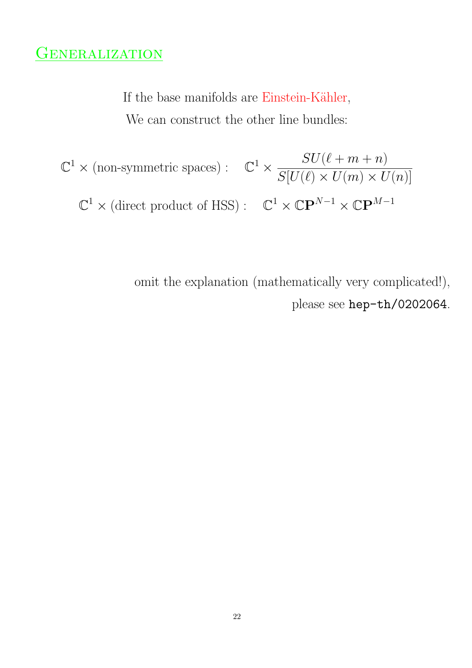## **GENERALIZATION**

If the base manifolds are Einstein-Kähler, We can construct the other line bundles:

 $\mathbb{C}^1 \times \text{(non-symmetric spaces)}: \mathbb{C}^1 \times$  $SU(\ell + m + n)$  $S[U(\ell) \times U(m) \times U(n)]$  $\mathbb{C}^1 \times (\text{direct product of HSS}) : \quad \mathbb{C}^1 \times \mathbb{C}P^{N-1} \times \mathbb{C}P^{M-1}$ 

> omit the explanation (mathematically very complicated!), please see hep-th/0202064.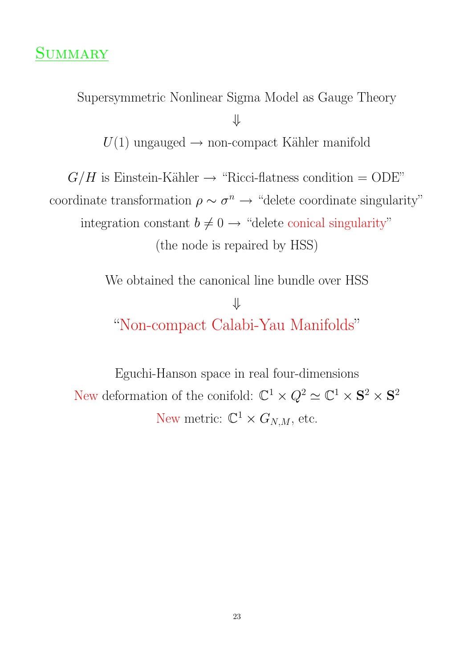Supersymmetric Nonlinear Sigma Model as Gauge Theory

⇓

 $U(1)$  ungauged  $\rightarrow$  non-compact Kähler manifold

 $G/H$  is Einstein-Kähler  $\rightarrow$  "Ricci-flatness condition = ODE" coordinate transformation  $\rho \sim \sigma^n \rightarrow$  "delete coordinate singularity" integration constant  $b \neq 0 \rightarrow$  "delete conical singularity" (the node is repaired by HSS)

> We obtained the canonical line bundle over HSS ⇓ "Non-compact Calabi-Yau Manifolds"

Eguchi-Hanson space in real four-dimensions New deformation of the conifold:  $\mathbb{C}^1 \times Q^2 \simeq \mathbb{C}^1 \times S^2 \times S^2$ New metric:  $\mathbb{C}^1 \times G_{N,M}$ , etc.